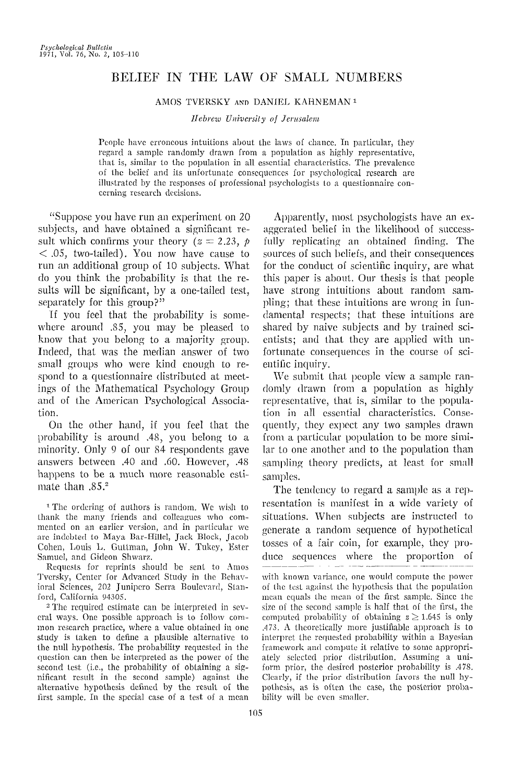## BELIEF IN THE LAW OF SMALL NUMBERS

## AMOS TVERSKY AND DANIEL KAHNEMAN<sup>1</sup>

*Hebrew University of Jerusalem*

People have erroneous intuitions about the laws of chance. In particular, they regard a sample randomly drawn from a population as highly representative, that is, similar to the population in all essential characteristics. The prevalence of the belief and its unfortunate consequences for psychological research are illustrated by the responses of professional psychologists to a questionnaire concerning research decisions.

subjects, and have obtained a significant result which confirms your theory ( $z = 2.23$ ,  $p$ ) < .05, two-tailed). You now have cause to run an additional group of 10 subjects. What do you think the probability is that the results will be significant, by a one-tailed test, separately for this group?"

If you feel that the probability is somewhere around .35, you may be pleased to know that you belong to a majority group. Indeed, that was the median answer of two small groups who were kind enough to respond to a questionnaire distributed at meetings of the Mathematical Psychology Group and of the American Psychological Association.

On the other hand, if you feel that the probability is around .48, you belong to a minority. Only 9 of our 84 respondents gave answers between .40 and .60. However, .48 happens to be a much more reasonable estimate than .85.<sup>2</sup>

<sup>1</sup> The ordering of authors is random. We wish to thank the many friends and colleagues who commented on an earlier version, and in particular we arc indebted to Maya Bar-Hillel, Jack Block, Jacob Cohen, Louis L. Gultman, John W. Tukey, Ester Samuel, and Gideon Shwarz.

Requests for reprints should be sent to Amos Tvcrsky, Center for Advanced Study in the Behavioral Sciences, 202 Junipero Scrra Boulevard, Stanford, California 94305.

*2* The required estimate can be interpreted in several ways. One possible approach is to follow common research practice, where a value obtained in one study is taken to define a plausible alternative to the null hypothesis. The probability requested in the question can then be interpreted as the power of the second test (i.e., the probability of obtaining a significant result in the second sample) against the alternative hypothesis defined by the result of the first sample. In the special case of a test of a mean

"Suppose you have run an experiment on 20 Apparently, most psychologists have an exaggerated belief in the likelihood of successfully replicating an obtained finding. The sources of such beliefs, and their consequences for the conduct of scientific inquiry, are what this paper is about. Our thesis is that people have strong intuitions about random sampling; that these intuitions are wrong in fundamental respects; that these intuitions are shared by naive subjects and by trained scientists; and that they are applied with unfortunate consequences in the course of scientific inquiry.

> We submit that people view a sample randomly drawn from a population as highly representative, that is, similar to the population in all essential characteristics. Consequently, they expect any two samples drawn from a particular population to be more similar to one another and to the population than sampling theory predicts, at least for small samples.

> The tendency to regard a sample as a representation is manifest in a wide variety of situations. When subjects are instructed to generate a random sequence of hypothetical tosses of a fair coin, for example, they produce sequences where the proportion of

> with known variance, one would compute the power of the test against the hypothesis that the population mean equals the mean of the first sample. Since the size of the second sample is half that of the first, the computed probability of obtaining  $z \ge 1.645$  is only .473. A theoretically more justifiable approach is to interpret the requested probability within a Baycsian framework and compute it relative to some appropriately selected prior distribution. Assuming a uniform prior, the desired posterior probability is .478. Clearly, if the prior distribution favors the null hypothesis, as is often the case, the posterior probability will be even smaller.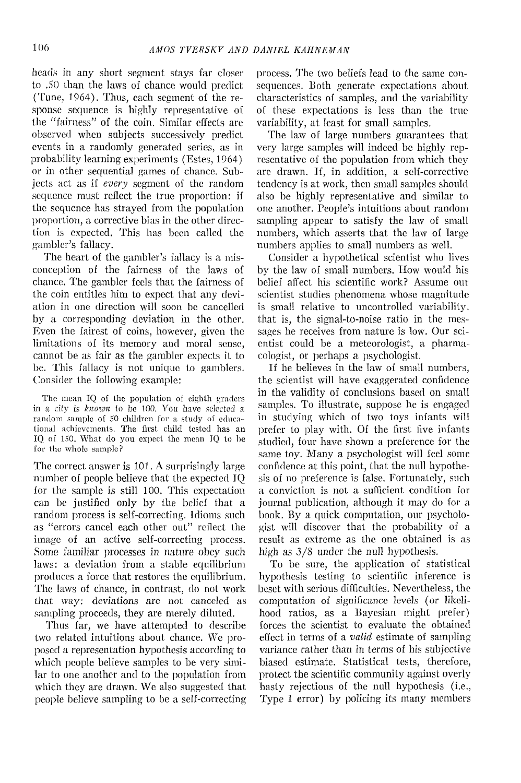heads in any short segment stays far closer to .SO than the laws of chance would predict (Tune, 1964). Thus, each segment of the response sequence is highly representative of the "fairness" of the coin. Similar effects are observed when subjects successively predict events in a randomly generated series, as in probability learning experiments (Estes, 1964) or in other sequential games of chance. Subjects act as if *every* segment of the random sequence must reflect the true proportion: if the sequence has strayed from the population proportion, a corrective bias in the other direction is expected. This has been called the gambler's fallacy.

The heart of the gambler's fallacy is a misconception of the fairness of the laws of chance. The gambler feels that the fairness of the coin entitles him to expect that any deviation in one direction will soon be cancelled by a corresponding deviation in the other. Even the fairest of coins, however, given the limitations of its memory and moral sense, cannot be as fair as the gambler expects it to be. This fallacy is not unique to gamblers. Consider the following example:

The mean IQ of the population of eighth graders in a cily is *known* to be 100. You have selected a random sample of SO children for a study of educational achievements. The first child tested has an IQ of ISO. What do you expect the mean IQ to be for the whole sample?

The correct answer is 101. A surprisingly large number of people believe that the expected JQ for the sample is still 100. This expectation can be justified only by the belief that a random process is self-correcting. Idioms such as "errors cancel each other out" reflect the image of an active self-correcting process. Some familiar processes in nature obey such laws: a deviation from a stable equilibrium produces a force that restores the equilibrium. The laws of chance, in contrast, do not work that way: deviations are not canceled as sampling proceeds, they are merely diluted.

Thus far, we have attempted to describe two related intuitions about chance. We proposed a representation hypothesis according to which people believe samples to be very similar to one another and to the population from which they are drawn. We also suggested that people believe sampling to be a self-correcting process. The two beliefs lead to the same consequences. Both generate expectations about characteristics of samples, and the variability of these expectations is less than the truevariability, at least for small samples.

The law of large numbers guarantees that very large samples will indeed be highly representative of the population from which they are drawn. If, in addition, a self-corrective tendency is at work, then small samples should also be highly representative and similar to one another. People's intuitions about random sampling appear to satisfy the law of small numbers, which asserts that the law of large numbers applies to small numbers as well.

Consider a hypothetical scientist who lives by the law of small numbers. How would his belief affect his scientific work? Assume outscientist studies phenomena whose magnitude is small relative to uncontrolled variability, that is, the signal-to-noise ratio in the messages he receives from nature is low. Our scientist could be a meteorologist, a pharmacologist, or perhaps a psychologist.

If he believes in the law of small numbers, the scientist will have exaggerated confidence in the validity of conclusions based on small samples. To illustrate, suppose he is engaged in studying which of two toys infants will prefer to play with. Of the first five infants studied, four have shown a preference for the same toy. Many a psychologist will feel some confidence at this point, that the null hypothesis of no preference is false. Fortunately, such a conviction is not a sufficient condition for journal publication, although it may do for a book. By a quick computation, our psychologist will discover that the probability of a result as extreme as the one obtained is as high as 3/8 under the null hypothesis.

To be sure, the application of statistical hypothesis testing to scientific inference is beset with serious difficulties. Nevertheless, the computation of significance levels (or likelihood ratios, as a Bayesian might prefer) forces the scientist to evaluate the obtained effect in terms of a *valid* estimate of sampling variance rather than in terms of his subjective biased estimate. Statistical tests, therefore, protect the scientific community against overly hasty rejections of the null hypothesis (i.e., Type 1 error) by policing its many members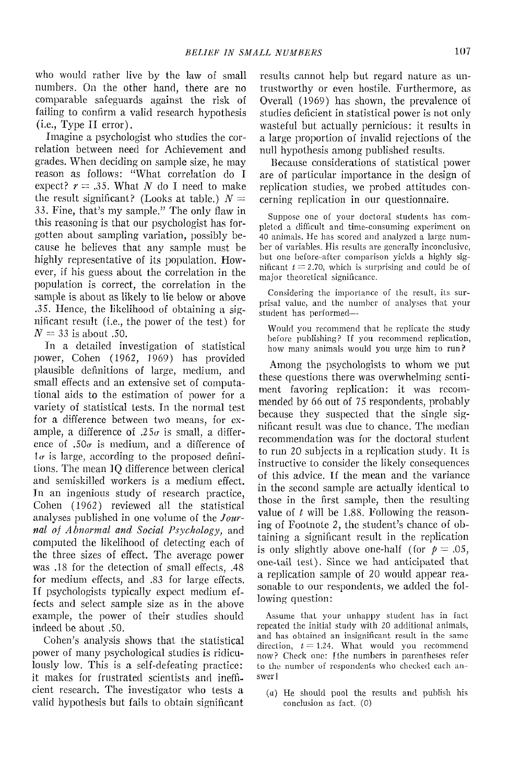who would rather live by the law of small numbers. On the other hand, there are no comparable safeguards against the risk of failing to confirm a valid research hypothesis (i.e., Type II error).

Imagine a psychologist who studies the correlation between need for Achievement and grades. When deciding on sample size, he may reason as follows: "What correlation do I expect?  $r = .35$ . What N do I need to make the result significant? (Looks at table.)  $N =$ 3,3. Fine, that's my sample." The only flaw in this reasoning is that our psychologist has forgotten about sampling variation, possibly because he believes that any sample must be highly representative of its population. However, if his guess about the correlation in the population is correct, the correlation in the sample is about as likely to lie below or above .35. Hence, the likelihood of obtaining a significant result (i.e., the power of the test) for  $N = 33$  is about .50.

In a detailed investigation of statistical power, Cohen (1962, 1969) has provided plausible definitions of large, medium, and small effects and an extensive set of computational aids to the estimation of power for a variety of statistical tests. In the normal test for a difference between two means, for example, a difference of  $.25\sigma$  is small, a difference of .50 $\sigma$  is medium, and a difference of  $1\sigma$  is large, according to the proposed definitions. The mean IQ difference between clerical and semiskilled workers is a medium effect. In an ingenious study of research practice, Cohen (1962) reviewed all the statistical analyses published in one volume of the *Journal of Abnormal and Social Psychology,* and computed the likelihood of detecting each of the three sizes of effect. The average power was .18 for the detection of small effects, .48 for medium effects, and .83 for large effects. If psychologists typically expect medium effects and select sample size as in the above example, the power of their studies should indeed be about .50.

Cohen's analysis shows that the statistical power of many psychological studies is ridiculously low. This is a self-defeating practice: it makes for frustrated scientists and inefficient research. The investigator who tests a valid hypothesis but fails to obtain significant

results cannot help but regard nature as untrustworthy or even hostile. Furthermore, as Overall (1969) has shown, the prevalence of studies deficient in statistical power is not only wasteful but actually pernicious: it results in a large proportion of invalid rejections of the null hypothesis among published results.

Because considerations of statistical power are of particular importance in the design of replication studies, we probed attitudes concerning replication in our questionnaire.

Suppose one of your doctoral students has completed a difficult and time-consuming experiment on 40 animals. He has scored and analyzed a large number of variables. His results are generally inconclusive, but one before-after comparison yields a highly significant  $t = 2.70$ , which is surprising and could be of major theoretical significance.

Considering the importance of the result, its surprisal value, and the number of analyses that your student has performed—

Would you recommend that he replicate the study before publishing? If you recommend replication, how many animals would you urge him to run?

Among the psychologists to whom we put these questions there was overwhelming sentiment favoring replication: it was recommended by 66 out of 75 respondents, probably because they suspected that the single significant result was due to chance. The median recommendation was for the doctoral student to run 20 subjects in a replication study. It is instructive to consider the likely consequences of this advice. If the mean and the variance in the second sample are actually identical to those in the first sample, then the resulting value of *t* will be 1.88. Following the reasoning of Footnote 2, the student's chance of obtaining a significant result in the replication is only slightly above one-half (for  $p = .05$ , one-tail test). Since we had anticipated that a replication sample of 20 would appear reasonable to our respondents, we added the following question:

Assume that your unhappy student has in fact repeated the initial study with 20 additional animals, and has obtained an insignificant result in the same direction,  $t = 1.24$ . What would you recommend now? Cheek one: [the numbers in parentheses refer to the number of respondents who checked each answer I

 $(a)$  He should pool the results and publish his conclusion as fact. (0)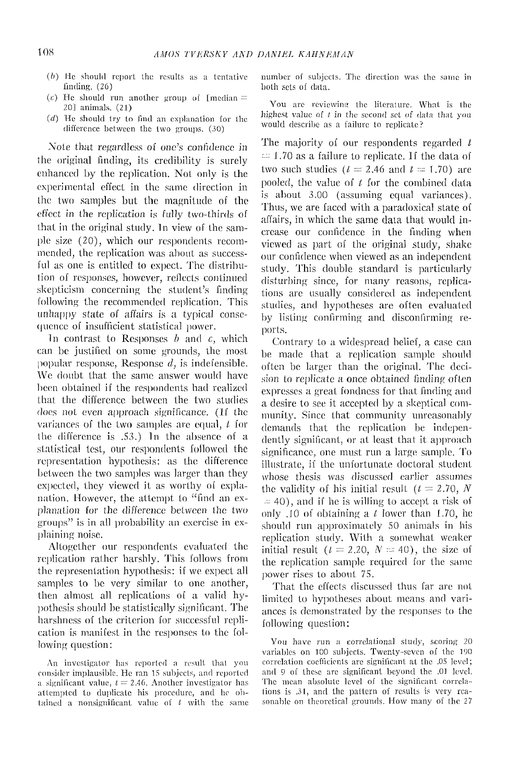- $(b)$  He should report the results as a tentative finding. (26)
- (c) He should run another group of  $Imedian =$ 20] animals. (21)
- *(d)* He should try to find an explanation lor the difference between the two groups. (30)

Note that regardless of one's confidence in the original finding, its credibility is surely enhanced by the replication. Not only is the experimental effect in the same direction in the two samples but the magnitude of the effect in the replication is fully two-thirds of that in the original study. In view of the sample size (20), which our respondents recommended, the replication was about as successful as one is entitled to expect. The distribution of responses, however, reflects continued skepticism concerning the student's finding following the recommended replication. This unhappy state of affairs is a typical consequence of insufficient statistical power.

In contrast to Responses *b* and *c*, which can be justified on some grounds, the most popular response, Response *d,* is indefensible. We doubt that the same answer would have been obtained if the respondents had realized that the difference between the two studies does not even approach significance. (If the variances of the two samples are equal,  *for* the difference is .53.) In the absence of a statistical test, our respondents followed the representation hypothesis: as the difference between the two samples was larger than they expected, they viewed it as worthy of explanation. However, the attempt to "find an explanation for the difference between the two groups" is in all probability an exercise in explaining noise.

Altogether our respondents evaluated the replication rather harshly. This follows from the representation hypothesis: if we expect all samples to be very similar to one another, then almost all replications of a valid hypothesis should he statistically significant. The harshness of the criterion for successful replication is manifest in the responses to the following question:

number of subjects. The direction was the same in both sets of data.

You are reviewing the literature. What is the highest value of *t* in the second set of data that you would describe as a failure to replicate?

The majority of our respondents regarded *I -----* .1.70 as a failure to replicate. If the data of two such studies  $(t = 2.46$  and  $t = 1.70$ ) are pooled, the value of *t* for the combined data is about 3.00 (assuming equal variances). Thus, we are faced with a paradoxical state of affairs, in which the same data that would increase our confidence in the finding when viewed as part of the original study, shake our confidence when viewed as an independent study. This double standard is particularly disturbing since, for many reasons, replications are usually considered as independent studies, and hypotheses are often evaluated by listing confirming and disconfirming reports.

Contrary to a widespread belief, a case can be made that a replication sample should often be larger than the original. The decision to replicate a once obtained finding often expresses a great fondness for that finding and a desire to see it accepted by a skeptical community. Since that community unreasonably demands that the replication be independently significant, or at least that it approach significance, one must run a large sample. To illustrate, if the unfortunate doctoral student whose thesis was discussed earlier assumes the validity of his initial result  $(t = 2.70, N)$  $=$  40), and if he is willing to accept a risk of only JO of obtaining a *t* lower than 1.70, he should run approximately SO animals in his replication study. With a somewhat weaker initial result  $(t = 2.20, N = 40)$ , the size of the replication sample required for the same power rises to about 75.

That the effects discussed thus far are not limited to hypotheses about means and variances is demonstrated by the responses to the following question:

You have run a correlational study, scoring 20 variables on 100 subjects. Twenty-seven of the 190 correlation coefficients are significant at the .OS level; and 9 of these are significant beyond the .0] level. The mean absolute level of the significant correlations is .31, and the pattern of results is very reasonable on theoretical grounds. How many of the 27

An investigator has reported a result that you consider implausible. He ran 15 subjects, and reported a significant value,  $t = 2.46$ . Another investigator has attempted to duplicate his procedure, and he obtained a nonsignificant value of *t* with the same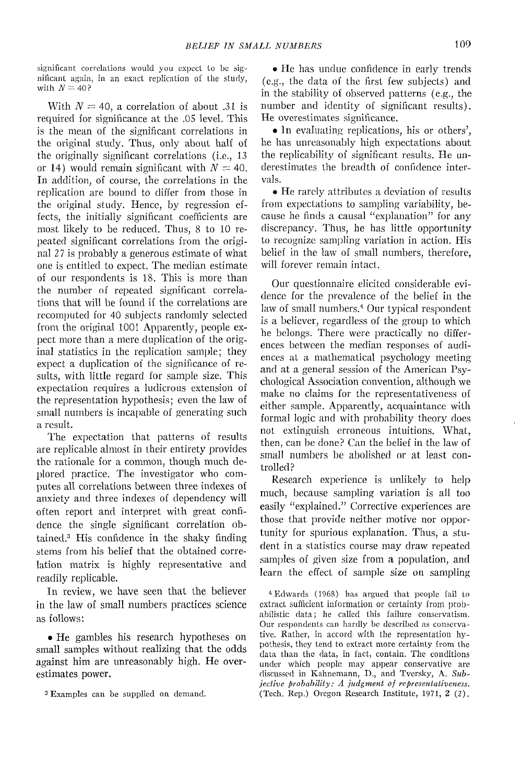significant correlations would you expect to be significant again, in an exact replication of the study, with  $N = 40$ ?

With  $N = 40$ , a correlation of about .31 is required for significance at the .OS level. This is the mean of the significant correlations in the original study. Thus, only about half of the originally significant correlations (i.e., 13 or 14) would remain significant with  $N = 40$ . In addition, of course, the correlations in the replication are bound to differ from those in the original study. Hence, by regression effects, the initially significant coefficients are most likely to be reduced. Thus, 8 to 10 repeated significant correlations from the original 27 is probably a generous estimate of what one is entitled to expect. The median estimate of our respondents is 18. This is more than the number of repeated significant correlations that will be found if the correlations are recomputed for 40 subjects randomly selected from the original 100! Apparently, people expect more than a mere duplication of the original statistics in the replication sample; they expect a duplication of the significance of results, with little regard for sample size. This expectation requires a ludicrous extension of the representation hypothesis; even the law of small numbers is incapable of generating such a result.

The expectation that patterns of results are replicable almost in their entirety provides the rationale for a common, though much deplored practice. The investigator who computes all correlations between three indexes of anxiety and three indexes of dependency will often report and interpret with great confidence the single significant correlation obtained.<sup>3</sup> His confidence in the shaky finding stems from his belief that the obtained correlation matrix is highly representative and readily replicable.

In review, we have seen that the believer in the law of small numbers practices science as follows:

• He gambles his research hypotheses on small samples without realizing that the odds against him are unreasonably high. He overestimates power.

3 Examples can be supplied on demand.

• He has undue confidence in early trends (e.g., the data of the first few subjects) and in the stability of observed patterns (e.g., the number and identity of significant results). He overestimates significance.

• In evaluating replications, his or others', he has unreasonably high expectations about the replicability of significant results. He underestimates the breadth of confidence intervals.

• He rarely attributes a deviation of results from expectations to sampling variability, because he finds a causal "explanation" for any discrepancy. Thus, he has little opportunity to recognize sampling variation in action. His belief in the law of small numbers, therefore, will forever remain intact.

Our questionnaire elicited considerable evidence for the prevalence of the belief in the law of small numbers.<sup>4</sup> Our typical respondent is a believer, regardless of the group to which he belongs. There were practically no differences between the median responses of audiences at a mathematical psychology meeting and at a general session of the American Psychological Association convention, although we make no claims for the representativeness of either sample. Apparently, acquaintance with formal logic and with probability theory does not extinguish erroneous intuitions. What, then, can be done? Can the belief in the law of small numbers be abolished or at least controlled?

Research experience is unlikely to help much, because sampling variation is all too easily "explained." Corrective experiences are those that provide neither motive nor opportunity for spurious explanation. Thus, a student in a statistics course may draw repeated samples of given size from a population, and learn the effect of sample size on sampling

\* Edwards (1968) has argued that people fail to extract sufficient information or certainty from probabilistic data; he called this failure conservatism. Our respondents can hardly be described as conservative. Rather, in accord with the representation hypothesis, they tend to extract more certainty from the data than the data, in fact, contain. The conditions under which people may appear conservative are discussed in Kahnemann, D., and Tversky, A. *Subjective probability: A judgment of representativeness.* (Tech. Rep.) Oregon Research Institute, 1971, 2 (2).